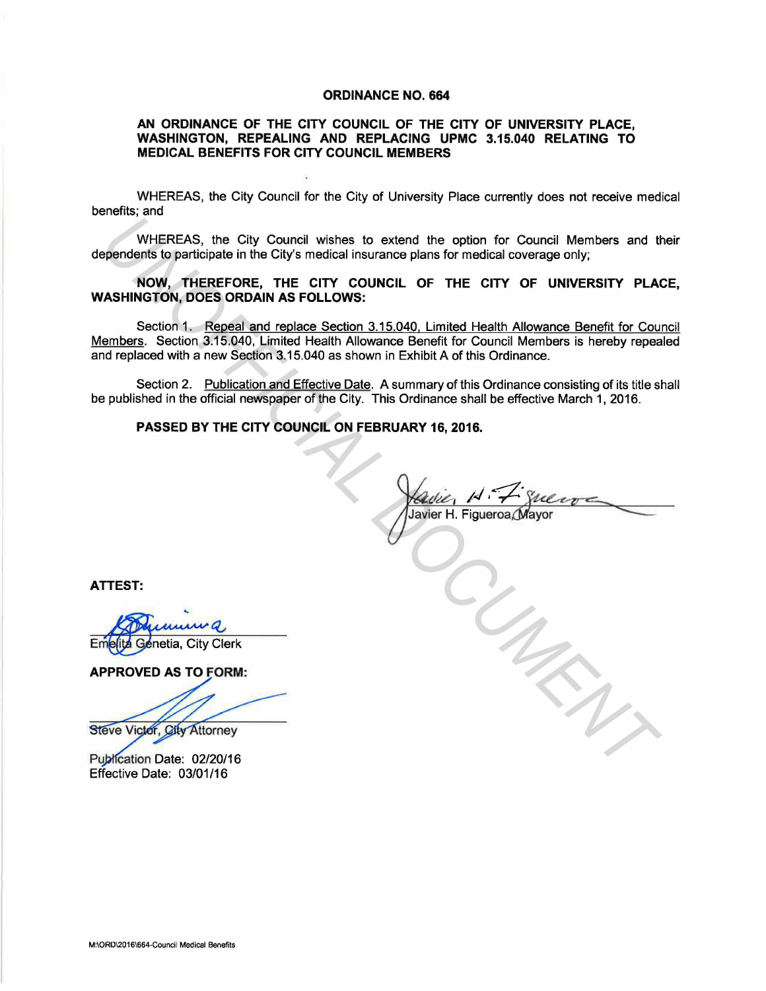#### ORDINANCE NO. 664

## AN ORDINANCE OF THE CITY COUNCIL OF THE CITY OF UNIVERSITY PLACE, WASHINGTON, REPEALING AND REPLACING UPMC 3.15.040 RELATING TO MEDICAL BENEFITS FOR CITY COUNCIL MEMBERS

WHEREAS, the City Council for the City of University Place currently does not receive medical benefits; and

WHEREAS, the City Council wishes to extend the option for Council Members and their dependents to participate in the City's medical insurance plans for medical coverage only;

## NOW, THEREFORE, THE CITY COUNCIL OF THE CITY OF UNIVERSITY PLACE, WASHINGTON, DOES ORDAIN AS FOLLOWS:

Section 1. Repeal and replace Section 3.15.040. Limited Health Allowance Benefit for Council Members. Section 3.15.040, Limited Health Allowance Benefit for Council Members is hereby repealed and replaced with a new Section 3.15.040 as shown in Exhibit A of this Ordinance. WHEREAS, the City Council wishes to extend the option for Council Members and the pendents to participate in the City's medical insurance plans for medical coverage only;<br>**ASHINGTON, DOES ORDAIN AS FOLLOWS:**<br>**ASHINGTON, DO** 

Section 2. Publication and Effective Date. A summary of this Ordinance consisting of its title shall be published in the official newspaper of the City. This Ordinance shall be effective March 1, 2016.

# PASSED BY THE CITY COUNCIL ON FEBRUARY 16, 2016.

Javier H. Figueroa, Ma

ATTEST:

Genetia, City Clerk

APPROVED AS TO FORM:

Publication Date: 02/20/16 Effective Date: 03/01/16